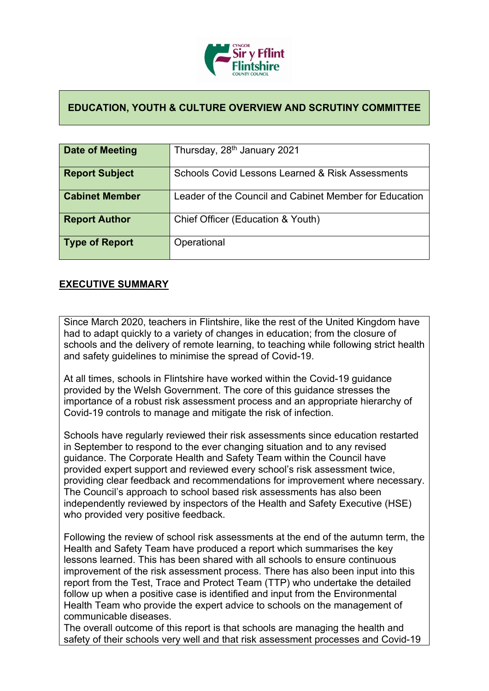

## **EDUCATION, YOUTH & CULTURE OVERVIEW AND SCRUTINY COMMITTEE**

| Date of Meeting       | Thursday, 28 <sup>th</sup> January 2021                     |
|-----------------------|-------------------------------------------------------------|
|                       |                                                             |
| <b>Report Subject</b> | <b>Schools Covid Lessons Learned &amp; Risk Assessments</b> |
|                       |                                                             |
| <b>Cabinet Member</b> | Leader of the Council and Cabinet Member for Education      |
|                       |                                                             |
| <b>Report Author</b>  | Chief Officer (Education & Youth)                           |
|                       |                                                             |
| Type of Report        | Operational                                                 |
|                       |                                                             |
|                       |                                                             |

## **EXECUTIVE SUMMARY**

Since March 2020, teachers in Flintshire, like the rest of the United Kingdom have had to adapt quickly to a variety of changes in education; from the closure of schools and the delivery of remote learning, to teaching while following strict health and safety guidelines to minimise the spread of Covid-19.

At all times, schools in Flintshire have worked within the Covid-19 guidance provided by the Welsh Government. The core of this guidance stresses the importance of a robust risk assessment process and an appropriate hierarchy of Covid-19 controls to manage and mitigate the risk of infection.

Schools have regularly reviewed their risk assessments since education restarted in September to respond to the ever changing situation and to any revised guidance. The Corporate Health and Safety Team within the Council have provided expert support and reviewed every school's risk assessment twice, providing clear feedback and recommendations for improvement where necessary. The Council's approach to school based risk assessments has also been independently reviewed by inspectors of the Health and Safety Executive (HSE) who provided very positive feedback.

Following the review of school risk assessments at the end of the autumn term, the Health and Safety Team have produced a report which summarises the key lessons learned. This has been shared with all schools to ensure continuous improvement of the risk assessment process. There has also been input into this report from the Test, Trace and Protect Team (TTP) who undertake the detailed follow up when a positive case is identified and input from the Environmental Health Team who provide the expert advice to schools on the management of communicable diseases.

The overall outcome of this report is that schools are managing the health and safety of their schools very well and that risk assessment processes and Covid-19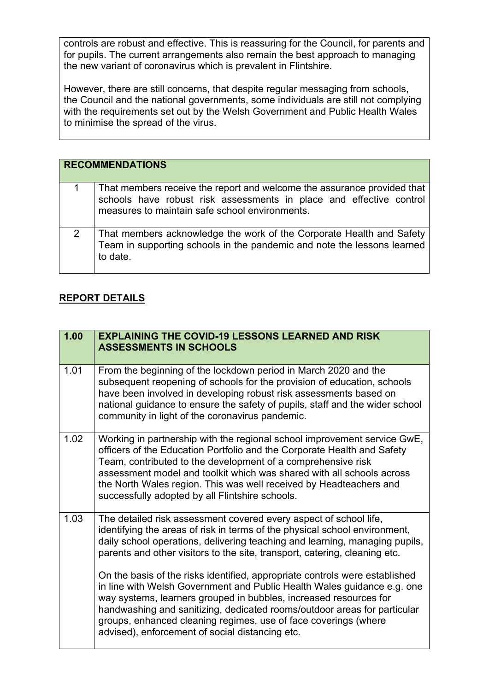controls are robust and effective. This is reassuring for the Council, for parents and for pupils. The current arrangements also remain the best approach to managing the new variant of coronavirus which is prevalent in Flintshire.

However, there are still concerns, that despite regular messaging from schools, the Council and the national governments, some individuals are still not complying with the requirements set out by the Welsh Government and Public Health Wales to minimise the spread of the virus.

|   | <b>RECOMMENDATIONS</b>                                                                                                                                                                           |
|---|--------------------------------------------------------------------------------------------------------------------------------------------------------------------------------------------------|
|   | That members receive the report and welcome the assurance provided that<br>schools have robust risk assessments in place and effective control<br>measures to maintain safe school environments. |
| 2 | That members acknowledge the work of the Corporate Health and Safety<br>Team in supporting schools in the pandemic and note the lessons learned<br>to date.                                      |

## **REPORT DETAILS**

| 1.00 | <b>EXPLAINING THE COVID-19 LESSONS LEARNED AND RISK</b><br><b>ASSESSMENTS IN SCHOOLS</b>                                                                                                                                                                                                                                                                                                                                                                                                                                                                                                                                                                                                                                                      |
|------|-----------------------------------------------------------------------------------------------------------------------------------------------------------------------------------------------------------------------------------------------------------------------------------------------------------------------------------------------------------------------------------------------------------------------------------------------------------------------------------------------------------------------------------------------------------------------------------------------------------------------------------------------------------------------------------------------------------------------------------------------|
| 1.01 | From the beginning of the lockdown period in March 2020 and the<br>subsequent reopening of schools for the provision of education, schools<br>have been involved in developing robust risk assessments based on<br>national guidance to ensure the safety of pupils, staff and the wider school<br>community in light of the coronavirus pandemic.                                                                                                                                                                                                                                                                                                                                                                                            |
| 1.02 | Working in partnership with the regional school improvement service GwE,<br>officers of the Education Portfolio and the Corporate Health and Safety<br>Team, contributed to the development of a comprehensive risk<br>assessment model and toolkit which was shared with all schools across<br>the North Wales region. This was well received by Headteachers and<br>successfully adopted by all Flintshire schools.                                                                                                                                                                                                                                                                                                                         |
| 1.03 | The detailed risk assessment covered every aspect of school life,<br>identifying the areas of risk in terms of the physical school environment,<br>daily school operations, delivering teaching and learning, managing pupils,<br>parents and other visitors to the site, transport, catering, cleaning etc.<br>On the basis of the risks identified, appropriate controls were established<br>in line with Welsh Government and Public Health Wales guidance e.g. one<br>way systems, learners grouped in bubbles, increased resources for<br>handwashing and sanitizing, dedicated rooms/outdoor areas for particular<br>groups, enhanced cleaning regimes, use of face coverings (where<br>advised), enforcement of social distancing etc. |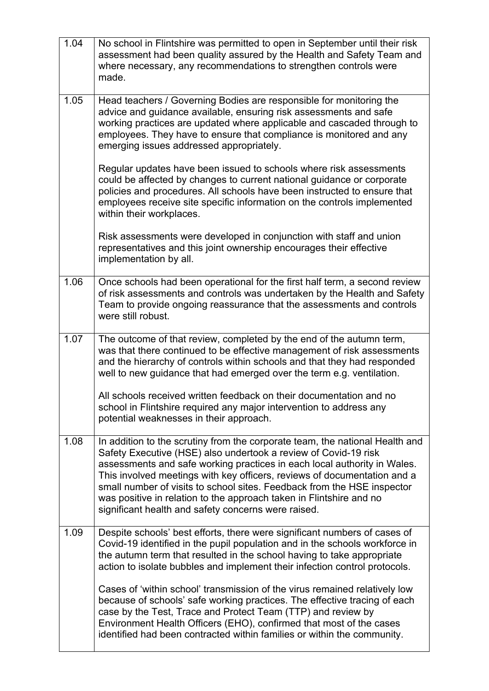| 1.04 | No school in Flintshire was permitted to open in September until their risk<br>assessment had been quality assured by the Health and Safety Team and<br>where necessary, any recommendations to strengthen controls were<br>made.                                                                                                                                                                                                                                                                                |
|------|------------------------------------------------------------------------------------------------------------------------------------------------------------------------------------------------------------------------------------------------------------------------------------------------------------------------------------------------------------------------------------------------------------------------------------------------------------------------------------------------------------------|
| 1.05 | Head teachers / Governing Bodies are responsible for monitoring the<br>advice and guidance available, ensuring risk assessments and safe<br>working practices are updated where applicable and cascaded through to<br>employees. They have to ensure that compliance is monitored and any<br>emerging issues addressed appropriately.                                                                                                                                                                            |
|      | Regular updates have been issued to schools where risk assessments<br>could be affected by changes to current national guidance or corporate<br>policies and procedures. All schools have been instructed to ensure that<br>employees receive site specific information on the controls implemented<br>within their workplaces.                                                                                                                                                                                  |
|      | Risk assessments were developed in conjunction with staff and union<br>representatives and this joint ownership encourages their effective<br>implementation by all.                                                                                                                                                                                                                                                                                                                                             |
| 1.06 | Once schools had been operational for the first half term, a second review<br>of risk assessments and controls was undertaken by the Health and Safety<br>Team to provide ongoing reassurance that the assessments and controls<br>were still robust.                                                                                                                                                                                                                                                            |
| 1.07 | The outcome of that review, completed by the end of the autumn term,<br>was that there continued to be effective management of risk assessments<br>and the hierarchy of controls within schools and that they had responded<br>well to new guidance that had emerged over the term e.g. ventilation.                                                                                                                                                                                                             |
|      | All schools received written feedback on their documentation and no<br>school in Flintshire required any major intervention to address any<br>potential weaknesses in their approach.                                                                                                                                                                                                                                                                                                                            |
| 1.08 | In addition to the scrutiny from the corporate team, the national Health and<br>Safety Executive (HSE) also undertook a review of Covid-19 risk<br>assessments and safe working practices in each local authority in Wales.<br>This involved meetings with key officers, reviews of documentation and a<br>small number of visits to school sites. Feedback from the HSE inspector<br>was positive in relation to the approach taken in Flintshire and no<br>significant health and safety concerns were raised. |
| 1.09 | Despite schools' best efforts, there were significant numbers of cases of<br>Covid-19 identified in the pupil population and in the schools workforce in<br>the autumn term that resulted in the school having to take appropriate<br>action to isolate bubbles and implement their infection control protocols.                                                                                                                                                                                                 |
|      | Cases of 'within school' transmission of the virus remained relatively low<br>because of schools' safe working practices. The effective tracing of each<br>case by the Test, Trace and Protect Team (TTP) and review by<br>Environment Health Officers (EHO), confirmed that most of the cases<br>identified had been contracted within families or within the community.                                                                                                                                        |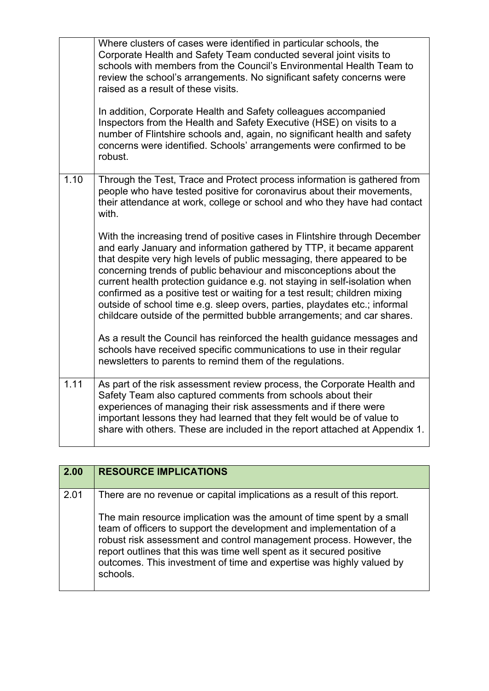|      | Where clusters of cases were identified in particular schools, the<br>Corporate Health and Safety Team conducted several joint visits to<br>schools with members from the Council's Environmental Health Team to<br>review the school's arrangements. No significant safety concerns were<br>raised as a result of these visits.<br>In addition, Corporate Health and Safety colleagues accompanied<br>Inspectors from the Health and Safety Executive (HSE) on visits to a<br>number of Flintshire schools and, again, no significant health and safety<br>concerns were identified. Schools' arrangements were confirmed to be<br>robust. |
|------|---------------------------------------------------------------------------------------------------------------------------------------------------------------------------------------------------------------------------------------------------------------------------------------------------------------------------------------------------------------------------------------------------------------------------------------------------------------------------------------------------------------------------------------------------------------------------------------------------------------------------------------------|
| 1.10 | Through the Test, Trace and Protect process information is gathered from<br>people who have tested positive for coronavirus about their movements,<br>their attendance at work, college or school and who they have had contact<br>with.                                                                                                                                                                                                                                                                                                                                                                                                    |
|      | With the increasing trend of positive cases in Flintshire through December<br>and early January and information gathered by TTP, it became apparent<br>that despite very high levels of public messaging, there appeared to be<br>concerning trends of public behaviour and misconceptions about the<br>current health protection guidance e.g. not staying in self-isolation when<br>confirmed as a positive test or waiting for a test result; children mixing<br>outside of school time e.g. sleep overs, parties, playdates etc.; informal<br>childcare outside of the permitted bubble arrangements; and car shares.                   |
|      | As a result the Council has reinforced the health guidance messages and<br>schools have received specific communications to use in their regular<br>newsletters to parents to remind them of the regulations.                                                                                                                                                                                                                                                                                                                                                                                                                               |
| 1.11 | As part of the risk assessment review process, the Corporate Health and<br>Safety Team also captured comments from schools about their<br>experiences of managing their risk assessments and if there were<br>important lessons they had learned that they felt would be of value to<br>share with others. These are included in the report attached at Appendix 1.                                                                                                                                                                                                                                                                         |

| 2.00 | <b>RESOURCE IMPLICATIONS</b>                                                                                                                                                                                                                                                                                                                                                    |
|------|---------------------------------------------------------------------------------------------------------------------------------------------------------------------------------------------------------------------------------------------------------------------------------------------------------------------------------------------------------------------------------|
| 2.01 | There are no revenue or capital implications as a result of this report.                                                                                                                                                                                                                                                                                                        |
|      | The main resource implication was the amount of time spent by a small<br>team of officers to support the development and implementation of a<br>robust risk assessment and control management process. However, the<br>report outlines that this was time well spent as it secured positive<br>outcomes. This investment of time and expertise was highly valued by<br>schools. |